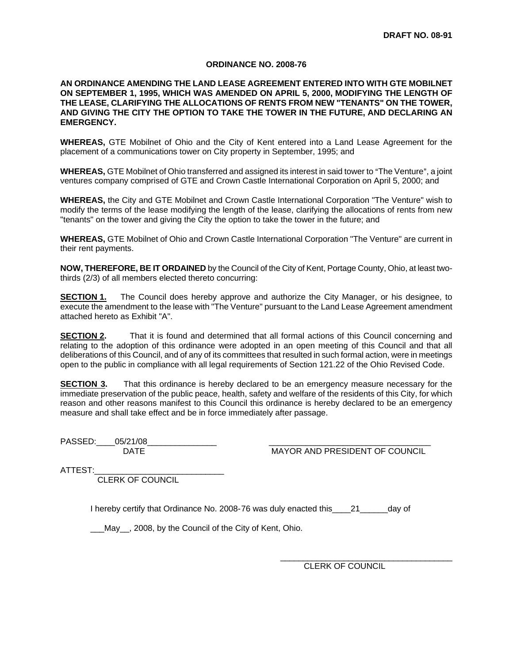#### **ORDINANCE NO. 2008-76**

### **AN ORDINANCE AMENDING THE LAND LEASE AGREEMENT ENTERED INTO WITH GTE MOBILNET ON SEPTEMBER 1, 1995, WHICH WAS AMENDED ON APRIL 5, 2000, MODIFYING THE LENGTH OF THE LEASE, CLARIFYING THE ALLOCATIONS OF RENTS FROM NEW "TENANTS" ON THE TOWER, AND GIVING THE CITY THE OPTION TO TAKE THE TOWER IN THE FUTURE, AND DECLARING AN EMERGENCY.**

**WHEREAS,** GTE Mobilnet of Ohio and the City of Kent entered into a Land Lease Agreement for the placement of a communications tower on City property in September, 1995; and

**WHEREAS, GTE Mobilnet of Ohio transferred and assigned its interest in said tower to "The Venture", a joint** ventures company comprised of GTE and Crown Castle International Corporation on April 5, 2000; and

**WHEREAS,** the City and GTE Mobilnet and Crown Castle International Corporation "The Venture" wish to modify the terms of the lease modifying the length of the lease, clarifying the allocations of rents from new "tenants" on the tower and giving the City the option to take the tower in the future; and

**WHEREAS,** GTE Mobilnet of Ohio and Crown Castle International Corporation "The Venture" are current in their rent payments.

**NOW, THEREFORE, BE IT ORDAINED** by the Council of the City of Kent, Portage County, Ohio, at least twothirds (2/3) of all members elected thereto concurring:

**SECTION 1.** The Council does hereby approve and authorize the City Manager, or his designee, to execute the amendment to the lease with "The Venture" pursuant to the Land Lease Agreement amendment attached hereto as Exhibit "A".

**SECTION 2.** That it is found and determined that all formal actions of this Council concerning and relating to the adoption of this ordinance were adopted in an open meeting of this Council and that all deliberations of this Council, and of any of its committees that resulted in such formal action, were in meetings open to the public in compliance with all legal requirements of Section 121.22 of the Ohio Revised Code.

**SECTION 3.** That this ordinance is hereby declared to be an emergency measure necessary for the immediate preservation of the public peace, health, safety and welfare of the residents of this City, for which reason and other reasons manifest to this Council this ordinance is hereby declared to be an emergency measure and shall take effect and be in force immediately after passage.

PASSED:\_\_\_\_\_05/21/08\_

DATE MAYOR AND PRESIDENT OF COUNCIL

ATTEST:

CLERK OF COUNCIL

I hereby certify that Ordinance No. 2008-76 was duly enacted this 21 day of

\_\_\_May\_\_, 2008, by the Council of the City of Kent, Ohio.

CLERK OF COUNCIL

 $\frac{1}{2}$  , and the set of the set of the set of the set of the set of the set of the set of the set of the set of the set of the set of the set of the set of the set of the set of the set of the set of the set of the set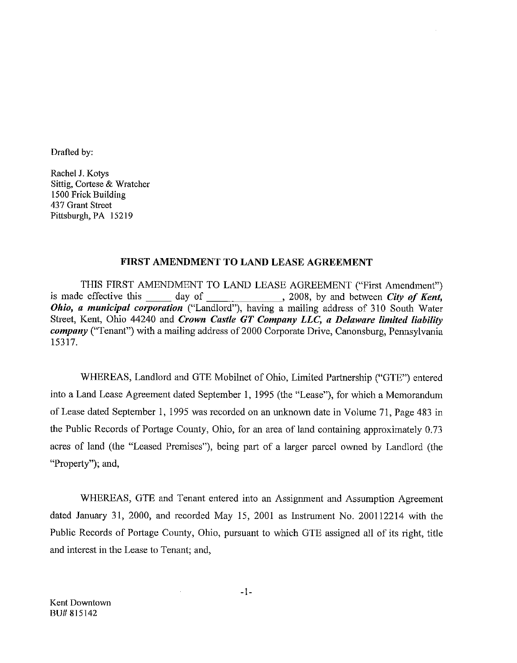Drafted by:

Rachel J. Kotys Sittig, Cortese & Wratcher 1500 Frick Building 437 Grant Street Pittsburgh, PA 15219

## FIRST AMENDMENT TO LAND LEASE AGREEMENT

THIS FIRST AMENDMENT TO LAND LEASE AGREEMENT ("First Amendment") day of \_\_\_\_\_\_\_\_\_\_\_\_\_\_\_\_, 2008, by and between *City of Kent*, is made effective this Ohio, a municipal corporation ("Landlord"), having a mailing address of 310 South Water Street, Kent, Ohio 44240 and Crown Castle GT Company LLC, a Delaware limited liability *company* ("Tenant") with a mailing address of 2000 Corporate Drive, Canonsburg, Pennsylvania 15317.

WHEREAS, Landlord and GTE Mobilnet of Ohio, Limited Partnership ("GTE") entered into a Land Lease Agreement dated September 1, 1995 (the "Lease"), for which a Memorandum of Lease dated September 1, 1995 was recorded on an unknown date in Volume 71, Page 483 in the Public Records of Portage County, Ohio, for an area of land containing approximately 0.73 acres of land (the "Leased Premises"), being part of a larger parcel owned by Landlord (the "Property"), and,

WHEREAS, GTE and Tenant entered into an Assignment and Assumption Agreement dated January 31, 2000, and recorded May 15, 2001 as Instrument No. 200112214 with the Public Records of Portage County, Ohio, pursuant to which GTE assigned all of its right, title and interest in the Lease to Tenant; and,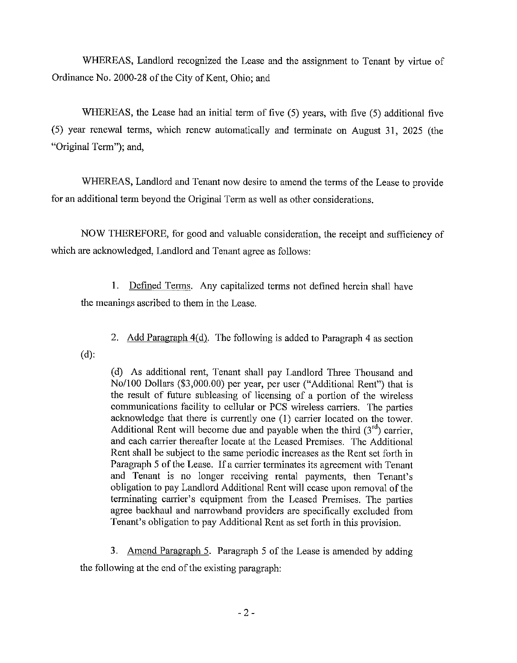WHEREAS, Landlord recognized the Lease and the assignment to Tenant by virtue of Ordinance No. 2000-28 of the City of Kent, Ohio: and

WHEREAS, the Lease had an initial term of five (5) years, with five (5) additional five (5) year renewal terms, which renew automatically and terminate on August 31, 2025 (the "Original Term"); and,

WHEREAS, Landlord and Tenant now desire to amend the terms of the Lease to provide for an additional term beyond the Original Term as well as other considerations.

NOW THEREFORE, for good and valuable consideration, the receipt and sufficiency of which are acknowledged, Landlord and Tenant agree as follows:

Defined Terms. Any capitalized terms not defined herein shall have  $1.$ the meanings ascribed to them in the Lease.

2. Add Paragraph 4(d). The following is added to Paragraph 4 as section

 $(d)$ :

(d) As additional rent, Tenant shall pay Landlord Three Thousand and No/100 Dollars (\$3,000.00) per year, per user ("Additional Rent") that is the result of future subleasing of licensing of a portion of the wireless communications facility to cellular or PCS wireless carriers. The parties acknowledge that there is currently one (1) carrier located on the tower. Additional Rent will become due and payable when the third  $(3<sup>rd</sup>)$  carrier. and each carrier thereafter locate at the Leased Premises. The Additional Rent shall be subject to the same periodic increases as the Rent set forth in Paragraph 5 of the Lease. If a carrier terminates its agreement with Tenant and Tenant is no longer receiving rental payments, then Tenant's obligation to pay Landlord Additional Rent will cease upon removal of the terminating carrier's equipment from the Leased Premises. The parties agree backhaul and narrowband providers are specifically excluded from Tenant's obligation to pay Additional Rent as set forth in this provision.

3. Amend Paragraph 5. Paragraph 5 of the Lease is amended by adding the following at the end of the existing paragraph: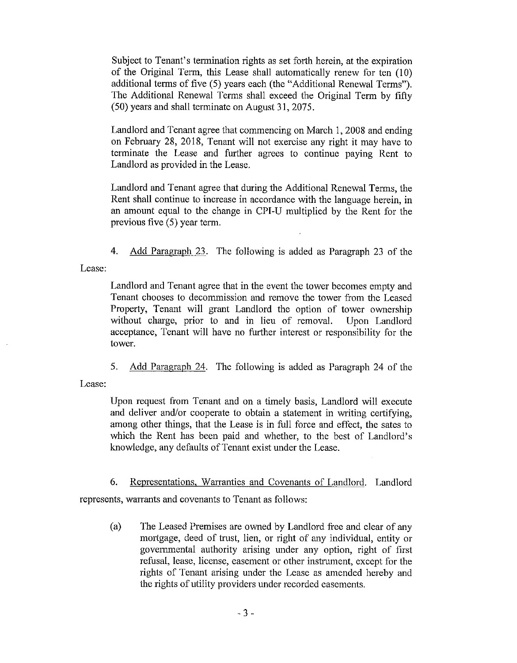Subject to Tenant's termination rights as set forth herein, at the expiration of the Original Term, this Lease shall automatically renew for ten (10) additional terms of five (5) years each (the "Additional Renewal Terms"). The Additional Renewal Terms shall exceed the Original Term by fifty (50) years and shall terminate on August 31, 2075.

Landlord and Tenant agree that commencing on March 1, 2008 and ending on February 28, 2018, Tenant will not exercise any right it may have to terminate the Lease and further agrees to continue paying Rent to Landlord as provided in the Lease.

Landlord and Tenant agree that during the Additional Renewal Terms, the Rent shall continue to increase in accordance with the language herein, in an amount equal to the change in CPI-U multiplied by the Rent for the previous five  $(5)$  year term.

 $4.$ Add Paragraph 23. The following is added as Paragraph 23 of the

Lease:

Landlord and Tenant agree that in the event the tower becomes empty and Tenant chooses to decommission and remove the tower from the Leased Property, Tenant will grant Landlord the option of tower ownership without charge, prior to and in lieu of removal. Upon Landlord acceptance, Tenant will have no further interest or responsibility for the tower.

 $5.$ Add Paragraph 24. The following is added as Paragraph 24 of the

Lease:

Upon request from Tenant and on a timely basis, Landlord will execute and deliver and/or cooperate to obtain a statement in writing certifying, among other things, that the Lease is in full force and effect, the sates to which the Rent has been paid and whether, to the best of Landlord's knowledge, any defaults of Tenant exist under the Lease.

6. Representations, Warranties and Covenants of Landlord. Landlord

represents, warrants and covenants to Tenant as follows:

The Leased Premises are owned by Landlord free and clear of any  $(a)$ mortgage, deed of trust, lien, or right of any individual, entity or governmental authority arising under any option, right of first refusal, lease, license, easement or other instrument, except for the rights of Tenant arising under the Lease as amended hereby and the rights of utility providers under recorded easements.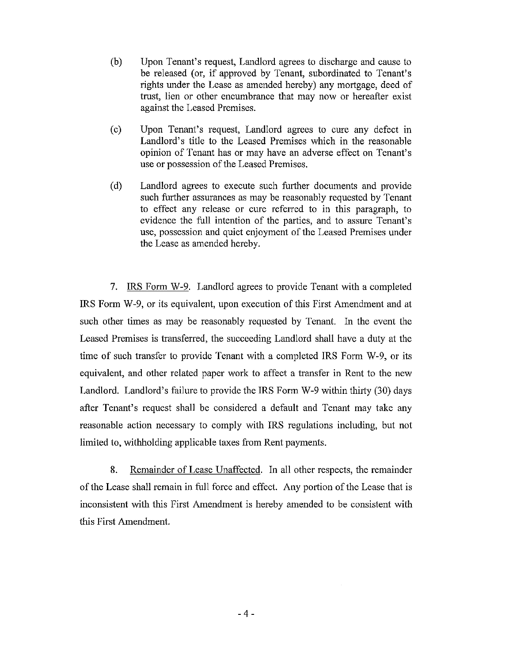- $(b)$ Upon Tenant's request, Landlord agrees to discharge and cause to be released (or, if approved by Tenant, subordinated to Tenant's rights under the Lease as amended hereby) any mortgage, deed of trust, lien or other encumbrance that may now or hereafter exist against the Leased Premises.
- $(c)$ Upon Tenant's request, Landlord agrees to cure any defect in Landlord's title to the Leased Premises which in the reasonable opinion of Tenant has or may have an adverse effect on Tenant's use or possession of the Leased Premises.
- $(d)$ Landlord agrees to execute such further documents and provide such further assurances as may be reasonably requested by Tenant to effect any release or cure referred to in this paragraph, to evidence the full intention of the parties, and to assure Tenant's use, possession and quiet enjoyment of the Leased Premises under the Lease as amended hereby.

7. IRS Form W-9. Landlord agrees to provide Tenant with a completed IRS Form W-9, or its equivalent, upon execution of this First Amendment and at such other times as may be reasonably requested by Tenant. In the event the Leased Premises is transferred, the succeeding Landlord shall have a duty at the time of such transfer to provide Tenant with a completed IRS Form W-9, or its equivalent, and other related paper work to affect a transfer in Rent to the new Landlord. Landlord's failure to provide the IRS Form W-9 within thirty (30) days after Tenant's request shall be considered a default and Tenant may take any reasonable action necessary to comply with IRS regulations including, but not limited to, withholding applicable taxes from Rent payments.

 $\mathbf{8}$ . Remainder of Lease Unaffected. In all other respects, the remainder of the Lease shall remain in full force and effect. Any portion of the Lease that is inconsistent with this First Amendment is hereby amended to be consistent with this First Amendment.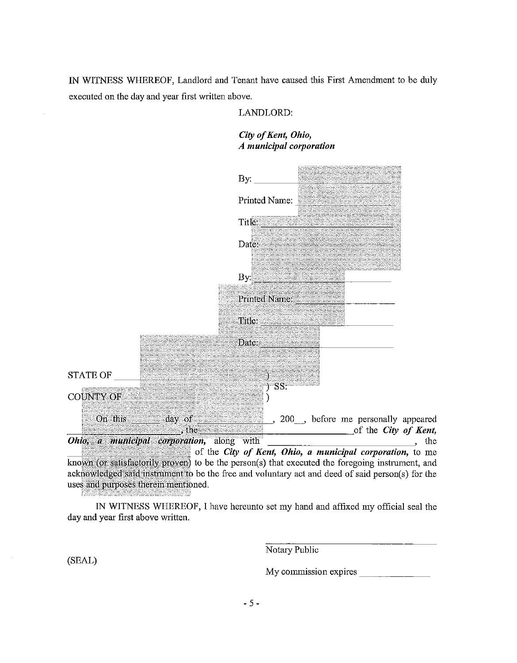IN WITNESS WHEREOF, Landlord and Tenant have caused this First Amendment to be duly executed on the day and year first written above.

## LANDLORD:

# City of Kent, Ohio, A municipal corporation

|                                           | By:                                                                                                                                                                                                  |
|-------------------------------------------|------------------------------------------------------------------------------------------------------------------------------------------------------------------------------------------------------|
|                                           | Printed Name:                                                                                                                                                                                        |
|                                           | Title:                                                                                                                                                                                               |
|                                           | Date:                                                                                                                                                                                                |
|                                           | By:                                                                                                                                                                                                  |
|                                           | Printed Name:                                                                                                                                                                                        |
|                                           | Title:                                                                                                                                                                                               |
|                                           | Date:                                                                                                                                                                                                |
| <b>STATE OF</b>                           | $SS^2$                                                                                                                                                                                               |
| <b>COUNTY OF</b>                          |                                                                                                                                                                                                      |
| On this<br>day of<br>, the                | 200 , before me personally appeared<br>of the City of Kent,                                                                                                                                          |
| Ohio, a municipal corporation, along with | the<br>of the City of Kent, Ohio, a municipal corporation, to me                                                                                                                                     |
| uses and purposes therein mentioned.      | known (or satisfactorily proven) to be the person(s) that executed the foregoing instrument, and<br>acknowledged said instrument to be the free and voluntary act and deed of said person(s) for the |

IN WITNESS WHEREOF, I have hereunto set my hand and affixed my official seal the day and year first above written.

Notary Public

(SEAL)

<u>The complete of the complete of the complete of the complete of the complete of the complete of the complete of the complete of the complete of the complete of the complete of the complete of the complete of the complete </u>

My commission expires